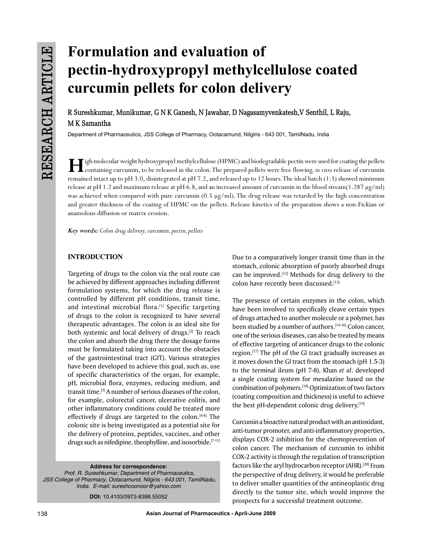# **Formulation and evaluation of pectin-hydroxypropyl methylcellulose coated curcumin pellets for colon delivery**

**R Sureshkumar, Munikumar, G N K Ganesh, N Jawahar, D Nagasamyvenkatesh,V Senthil, L Raju, M K Samantha** 

Department of Pharmaceutics, JSS College of Pharmacy, Ootacamund, Nilgiris - 643 001, TamilNadu, India

If igh molecular weight hydroxypropyl methylcellulose (HPMC) and biodegradable pectin were used for coating the pellets<br>containing curcumin, to be released in the colon. The prepared pellets were free flowing. in vitro rel remained intact up to pH 3.0, disintegrated at pH 7.2, and released up to 12 hours. The ideal batch (1:3) showed minimum release at pH 1.2 and maximum release at pH 6.8, and an increased amount of curcumin in the blood stream $(1.287 \,\mu g/ml)$ was achieved when compared with pure curcumin (0.5 µg/ml). The drug release was retarded by the high concentration and greater thickness of the coating of HPMC on the pellets. Release kinetics of the preparation shows a non-Fickian or anamolous diffusion or matrix erosion.

*Key words: Colon drug delivery, curcumin, pectin, pellets*

# **INTRODUCTION**

Targeting of drugs to the colon via the oral route can be achieved by different approaches including different formulation systems, for which the drug release is controlled by different pH conditions, transit time, and intestinal microbial flora.<sup>[1]</sup> Specific targeting of drugs to the colon is recognized to have several therapeutic advantages. The colon is an ideal site for both systemic and local delivery of drugs.<sup>[2]</sup> To reach the colon and absorb the drug there the dosage forms must be formulated taking into account the obstacles of the gastrointestinal tract (GIT). Various strategies have been developed to achieve this goal, such as, use of specific characteristics of the organ, for example, pH, microbial flora, enzymes, reducing medium, and transit time.[3] A number of serious diseases of the colon, for example, colorectal cancer, ulcerative colitis, and other inflammatory conditions could be treated more effectively if drugs are targeted to the colon. $[4-6]$  The colonic site is being investigated as a potential site for the delivery of proteins, peptides, vaccines, and other drugs such as nifedipine, theophylline, and isosorbide.[7-11]

**Address for correspondence:** *Prof. R. Sureshkumar, Department of Pharmaceutics, JSS College of Pharmacy, Ootacamund, Nilgiris - 643 001, TamilNadu, India. E-mail: sureshcoonoor@yahoo.com*

**DOI:** 10.4103/0973-8398.55052

Due to a comparatively longer transit time than in the stomach, colonic absorption of poorly absorbed drugs can be improved.<sup>[12]</sup> Methods for drug delivery to the colon have recently been discussed.[13]

The presence of certain enzymes in the colon, which have been involved to specifically cleave certain types of drugs attached to another molecule or a polymer, has been studied by a number of authors.<sup>[14-16]</sup> Colon cancer, one of the serious diseases, can also be treated by means of effective targeting of anticancer drugs to the colonic region.[17] The pH of the GI tract gradually increases as it moves down the GI tract from the stomach (pH 1.5-3) to the terminal ileum (pH 7-8). Khan *et al*. developed a single coating system for mesalazine based on the combination of polymers.[18] Optimization of two factors (coating composition and thickness) is useful to achieve the best pH-dependent colonic drug delivery.[19]

Curcumin a bioactive natural product with an antioxidant, anti-tumor promoter, and anti-inflammatory properties, displays COX-2 inhibition for the chemoprevention of colon cancer. The mechanism of curcumin to inhibit COX-2 activity is through the regulation of transcription factors like the aryl hydrocarbon receptor (AHR).<sup>[20]</sup> From the perspective of drug delivery, it would be preferable to deliver smaller quantities of the antineoplastic drug directly to the tumor site, which would improve the prospects for a successful treatment outcome.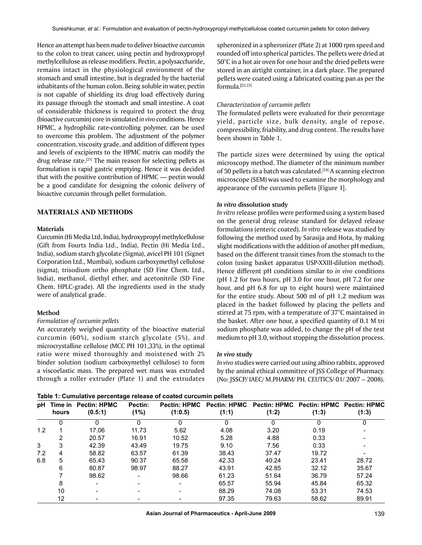Hence an attempt has been made to deliver bioactive curcumin to the colon to treat cancer, using pectin and hydroxypropyl methylcellulose as release modifiers. Pectin, a polysaccharide, remains intact in the physiological environment of the stomach and small intestine, but is degraded by the bacterial inhabitants of the human colon. Being soluble in water, pectin is not capable of shielding its drug load effectively during its passage through the stomach and small intestine. A coat of considerable thickness is required to protect the drug (bioactive curcumin) core in simulated *in vivo* conditions. Hence HPMC, a hydrophilic rate-controlling polymer, can be used to overcome this problem. The adjustment of the polymer concentration, viscosity grade, and addition of different types and levels of excipients to the HPMC matrix can modify the drug release rate.<sup>[21]</sup> The main reason for selecting pellets as formulation is rapid gastric emptying. Hence it was decided that with the positive contribution of HPMC — pectin would be a good candidate for designing the colonic delivery of bioactive curcumin through pellet formulation.

# **MATERIALS AND METHODS**

# **Materials**

Curcumin (Hi Media Ltd, India), hydroxypropyl methylcellulose (Gift from Fourts India Ltd., India), Pectin (Hi Media Ltd., India), sodium starch glycolate (Sigma), avicel PH 101 (Signet Corporation Ltd., Mumbai), sodium carboxymethyl cellulose (sigma), trisodium ortho phosphate (SD Fine Chem. Ltd., India), methanol, diethyl ether, and acetonitrile (SD Fine Chem. HPLC-grade). All the ingredients used in the study were of analytical grade.

## **Method**

## *Formulation of curcumin pellets*

An accurately weighed quantity of the bioactive material curcumin (60%), sodium starch glycolate (5%), and microcrystalline cellulose (MCC PH 101,33%), in the optimal ratio were mixed thoroughly and moistened with 2% binder solution (sodium carboxymethyl cellulose) to form a viscoelastic mass. The prepared wet mass was extruded through a roller extruder (Plate 1) and the extrudates spheronized in a spheronizer (Plate 2) at 1000 rpm speed and rounded off into spherical particles. The pellets were dried at 50°C in a hot air oven for one hour and the dried pellets were stored in an airtight container, in a dark place. The prepared pellets were coated using a fabricated coating pan as per the formula.**[**22,23]

#### *Characterization of curcumin pellets*

The formulated pellets were evaluated for their percentage yield, particle size, bulk density, angle of repose, compressibility, friability, and drug content. The results have been shown in Table 1.

The particle sizes were determined by using the optical microscopy method. The diameter of the minimum number of 50 pellets in a batch was calculated.<sup>[24]</sup> A scanning electron microscope (SEM) was used to examine the morphology and appearance of the curcumin pellets [Figure 1].

#### *in vitro* **dissolution study**

*In vitro* release profiles were performed using a system based on the general drug release standard for delayed release formulations (enteric coated). *in vitro* release was studied by following the method used by Sarasija and Hota, by making slight modifications with the addition of another pH medium, based on the different transit times from the stomach to the colon (using basket apparatus USP-XXIII-dilution method). Hence different pH conditions similar to *in vivo* conditions (pH 1.2 for two hours, pH 3.0 for one hour, pH 7.2 for one hour, and pH 6.8 for up to eight hours) were maintained for the entire study. About 500 ml of pH 1.2 medium was placed in the basket followed by placing the pellets and stirred at 75 rpm, with a temperature of 37°C maintained in the basket. After one hour, a specified quantity of 0.1 M tri sodium phosphate was added, to change the pH of the test medium to pH 3.0, without stopping the dissolution process.

#### *In vivo* **study**

*In vivo* studies were carried out using albino rabbits, approved by the animal ethical committee of JSS College of Pharmacy. (No: JSSCP/ IAEC/ M.PHARM/ PH. CEUTICS/ 01/ 2007 – 2008).

**Table 1: Cumulative percentage release of coated curcumin pellets**

| рH  | hours | Time in Pectin: HPMC<br>(0.5:1) | Pectin:<br>(1%) | <b>Pectin: HPMC</b><br>(1:0.5) | (1:1) | Pectin: HPMC Pectin: HPMC Pectin: HPMC Pectin: HPMC<br>(1:2) | (1:3) | (1:3) |
|-----|-------|---------------------------------|-----------------|--------------------------------|-------|--------------------------------------------------------------|-------|-------|
|     |       |                                 | 0               | $\Omega$                       | 0     | $\Omega$                                                     | 0     | 0     |
| 1.2 |       | 17.06                           | 11.73           | 5.62                           | 4.08  | 3.20                                                         | 0.19  |       |
|     | ◠     | 20.57                           | 16.91           | 10.52                          | 5.28  | 4.88                                                         | 0.33  |       |
| 3   | 3     | 42.39                           | 43.49           | 19.75                          | 9.10  | 7.56                                                         | 0.33  |       |
| 7.2 | 4     | 58.82                           | 63.57           | 61.39                          | 38.43 | 37.47                                                        | 19.72 |       |
| 6.8 | 5     | 65.43                           | 90.37           | 65.58                          | 42.33 | 40.24                                                        | 23.41 | 28.72 |
|     | 6     | 80.87                           | 98.97           | 88.27                          | 43.91 | 42.85                                                        | 32.12 | 35.67 |
|     |       | 98.62                           |                 | 98.66                          | 61.23 | 51.64                                                        | 36.79 | 57.24 |
|     | 8     |                                 |                 |                                | 65.57 | 55.94                                                        | 45.84 | 65.32 |
|     | 10    | -                               |                 |                                | 88.29 | 74.08                                                        | 53.31 | 74.53 |
|     | 12    |                                 |                 |                                | 97.35 | 79.63                                                        | 58.62 | 89.91 |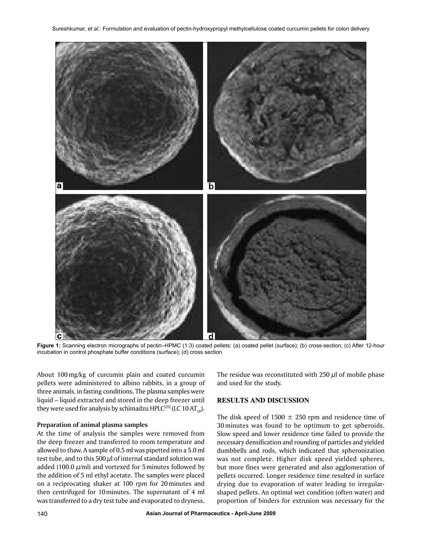

Figure 1: Scanning electron micrographs of pectin–HPMC (1:3) coated pellets: (a) coated pellet (surface); (b) cross-section; (c) After 12-hour incubation in control phosphate buffer conditions (surface); (d) cross section

About 100mg/kg of curcumin plain and coated curcumin pellets were administered to albino rabbits, in a group of three animals, in fasting conditions. The plasma samples were liquid – liquid extracted and stored in the deep freezer until they were used for analysis by schimadzu HPLC<sup>[25]</sup> (LC 10 AT<sub>vp</sub>).

## **Preparation of animal plasma samples**

At the time of analysis the samples were removed from the deep freezer and transferred to room temperature and allowed to thaw. A sample of 0.5 ml was pipetted into a 5.0 ml test tube, and to this 500  $\mu$ l of internal standard solution was added (100.0  $\mu$ /ml) and vortexed for 5 minutes followed by the addition of 5 ml ethyl acetate. The samples were placed on a reciprocating shaker at 100 rpm for 20minutes and then centrifuged for 10minutes. The supernatant of 4 ml was transferred to a dry test tube and evaporated to dryness.

The residue was reconstituted with 250  $\mu$ l of mobile phase and used for the study.

# **RESULTS AND DISCUSSION**

The disk speed of 1500  $\pm$  250 rpm and residence time of 30minutes was found to be optimum to get spheroids. Slow speed and lower residence time failed to provide the necessary densification and rounding of particles and yielded dumbbells and rods, which indicated that spheronization was not complete. Higher disk speed yielded spheres, but more fines were generated and also agglomeration of pellets occurred. Longer residence time resulted in surface drying due to evaporation of water leading to irregularshaped pellets. An optimal wet condition (often water) and proportion of binders for extrusion was necessary for the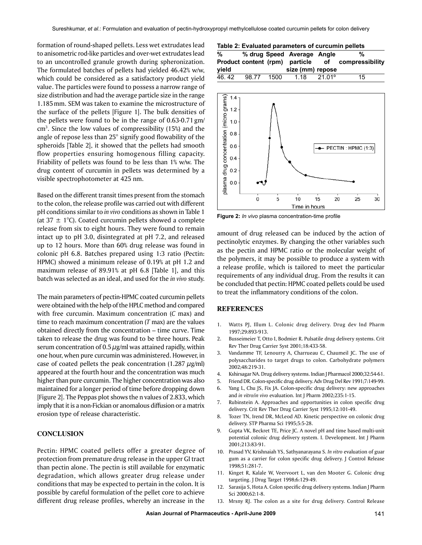formation of round-shaped pellets. Less wet extrudates lead to anisometric rod-like particles and over-wet extrudates lead to an uncontrolled granule growth during spheronization. The formulated batches of pellets had yielded 46.42% w/w, which could be considered as a satisfactory product yield value. The particles were found to possess a narrow range of size distribution and had the average particle size in the range 1.185mm. SEM was taken to examine the microstructure of the surface of the pellets [Figure 1]. The bulk densities of the pellets were found to be in the range of 0.63-0.71 gm/  $cm<sup>3</sup>$ . Since the low values of compressibility (15%) and the angle of repose less than 25° signify good flowability of the spheroids [Table 2], it showed that the pellets had smooth flow properties ensuring homogenous filling capacity. Friability of pellets was found to be less than 1% w/w. The drug content of curcumin in pellets was determined by a visible spectrophotometer at 425 nm.

Based on the different transit times present from the stomach to the colon, the release profile was carried out with different pH conditions similar to *in vivo* conditions as shown in Table 1 (at  $37 \pm 1^{\circ}$ C). Coated curcumin pellets showed a complete release from six to eight hours. They were found to remain intact up to pH 3.0, disintegrated at pH 7.2, and released up to 12 hours. More than 60% drug release was found in colonic pH 6.8. Batches prepared using 1:3 ratio (Pectin: HPMC) showed a minimum release of 0.19% at pH 1.2 and maximum release of 89.91% at pH 6.8 [Table 1], and this batch was selected as an ideal, and used for the *in vivo* study.

The main parameters of pectin-HPMC coated curcumin pellets were obtained with the help of the HPLC method and compared with free curcumin. Maximum concentration (*C* max) and time to reach maximum concentration (*T* max) are the values obtained directly from the concentration – time curve. Time taken to release the drug was found to be three hours. Peak serum concentration of 0.5  $\mu$ g/ml was attained rapidly, within one hour, when pure curcumin was administered. However, in case of coated pellets the peak concentration (1.287  $\mu$ g/ml) appeared at the fourth hour and the concentration was much higher than pure curcumin. The higher concentration was also maintained for a longer period of time before dropping down [Figure 2]. The Peppas plot shows the n values of 2.833, which imply that it is a non-Fickian or anomalous diffusion or a matrix erosion type of release characteristic.

# **CONCLUSION**

Pectin: HPMC coated pellets offer a greater degree of protection from premature drug release in the upper GI tract than pectin alone. The pectin is still available for enzymatic degradation, which allows greater drug release under conditions that may be expected to pertain in the colon. It is possible by careful formulation of the pellet core to achieve different drug release profiles, whereby an increase in the

|  |  | Table 2: Evaluated parameters of curcumin pellets |
|--|--|---------------------------------------------------|
|--|--|---------------------------------------------------|

| %     |       |      | % drug Speed Average Angle     |        | %                  |
|-------|-------|------|--------------------------------|--------|--------------------|
|       |       |      | Product content (rpm) particle |        | of compressibility |
| vield |       |      | size (mm) repose               |        |                    |
| 46.42 | 98.77 | 1500 | 1.18                           | 21.01° | 15                 |



**Figure 2:** *In vivo* plasma concentration-time profile

amount of drug released can be induced by the action of pectinolytic enzymes. By changing the other variables such as the pectin and HPMC ratio or the molecular weight of the polymers, it may be possible to produce a system with a release profile, which is tailored to meet the particular requirements of any individual drug. From the results it can be concluded that pectin: HPMC coated pellets could be used to treat the inflammatory conditions of the colon.

#### **REFERENCES**

- 1. Watts PJ, Illum L. Colonic drug delivery. Drug dev Ind Pharm 1997;29:893-913.
- 2. Busseimeier T, Otto I, Bodmier R. Pulsatile drug delivery systems. Crit Rev Ther Drug Carrier Syst 2001;18:433-58.
- 3. Vandamme TF, Lenourry A, Charrueau C, Chaumeil JC. The use of polysaccharides to target drugs to colon. Carbohydrate polymers 2002;48:219-31.
- 4. Kshirsagar NA. Drug delivery systems. Indian J Pharmacol 2000;32:54-61.
- 5. Friend DR. Colon-specific drug delivery. Adv Drug Del Rev 1991;7:149-99.
- 6. Yang L, Chu JS, Fix JA. Colon-specific drug delivery: new approaches and *in vitro*/*in vivo* evaluation. Int J Pharm 2002;235:1-15.
- 7. Rubinstein A. Approaches and opportunities in colon specific drug delivery. Crit Rev Ther Drug Carrier Syst 1995;12:101-49.
- 8. Tozer TN, Irend DR, McLeod AD. Kinetic perspective on colonic drug delivery. STP Pharma Sci 1995;5:5-28.
- 9. Gupta VK, Beckret TE, Price JC. A novel pH and time based multi-unit potential colonic drug delivery system. I. Development. Int J Pharm 2001;213:83-91.
- 10. Prasad YV, Krishnaiah YS, Sathyanarayana S. *In vitro* evaluation of guar gum as a carrier for colon specific drug delivery. J Control Release 1998;51:281-7.
- 11. Kinget R, Kalale W, Veervoort L, van den Mooter G. Colonic drug targeting. J Drug Target 1998;6:129-49.
- 12. Sarasija S, Hota A. Colon specific drug delivery systems. Indian J Pharm Sci 2000;62:1-8.
- 13. Mrsny RJ. The colon as a site for drug delivery. Control Release